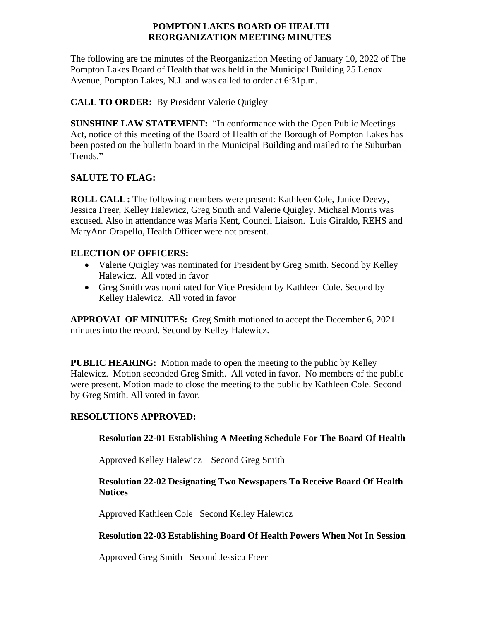## **POMPTON LAKES BOARD OF HEALTH REORGANIZATION MEETING MINUTES**

The following are the minutes of the Reorganization Meeting of January 10, 2022 of The Pompton Lakes Board of Health that was held in the Municipal Building 25 Lenox Avenue, Pompton Lakes, N.J. and was called to order at 6:31p.m.

# **CALL TO ORDER:** By President Valerie Quigley

**SUNSHINE LAW STATEMENT:** "In conformance with the Open Public Meetings Act, notice of this meeting of the Board of Health of the Borough of Pompton Lakes has been posted on the bulletin board in the Municipal Building and mailed to the Suburban Trends."

# **SALUTE TO FLAG:**

**ROLL CALL:** The following members were present: Kathleen Cole, Janice Deevy, Jessica Freer, Kelley Halewicz, Greg Smith and Valerie Quigley. Michael Morris was excused. Also in attendance was Maria Kent, Council Liaison. Luis Giraldo, REHS and MaryAnn Orapello, Health Officer were not present.

# **ELECTION OF OFFICERS:**

- Valerie Quigley was nominated for President by Greg Smith. Second by Kelley Halewicz. All voted in favor
- Greg Smith was nominated for Vice President by Kathleen Cole. Second by Kelley Halewicz. All voted in favor

**APPROVAL OF MINUTES:** Greg Smith motioned to accept the December 6, 2021 minutes into the record. Second by Kelley Halewicz.

**PUBLIC HEARING:** Motion made to open the meeting to the public by Kelley Halewicz. Motion seconded Greg Smith. All voted in favor. No members of the public were present. Motion made to close the meeting to the public by Kathleen Cole. Second by Greg Smith. All voted in favor.

## **RESOLUTIONS APPROVED:**

## **Resolution 22-01 Establishing A Meeting Schedule For The Board Of Health**

Approved Kelley Halewicz Second Greg Smith

## **Resolution 22-02 Designating Two Newspapers To Receive Board Of Health Notices**

Approved Kathleen Cole Second Kelley Halewicz

## **Resolution 22-03 Establishing Board Of Health Powers When Not In Session**

Approved Greg Smith Second Jessica Freer